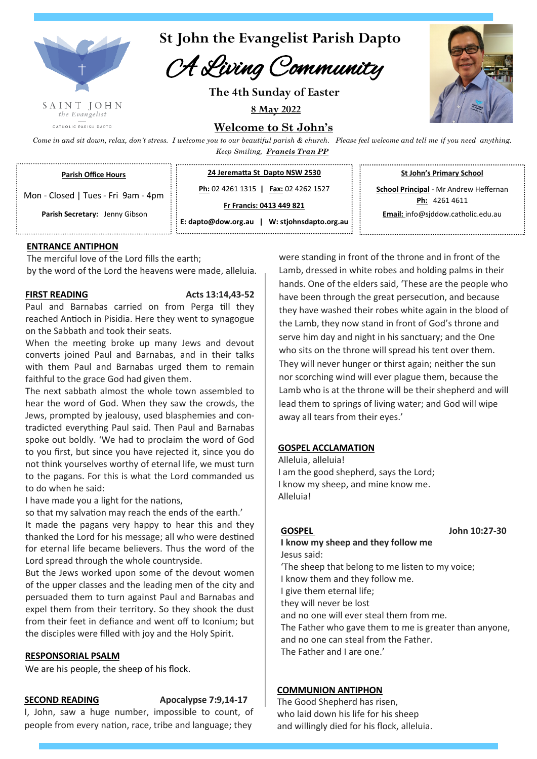

CATHOLIC PARISH DAPTO

**St John the Evangelist Parish Dapto**

# A Living Community

**The 4th Sunday of Easter**

**8 May 2022**



**Welcome to St John's**

*Come in and sit down, relax, don't stress. I welcome you to our beautiful parish & church. Please feel welcome and tell me if you need anything. Keep Smiling, Francis Tran PP*

#### **Parish Office Hours**

Mon - Closed | Tues - Fri 9am - 4pm **Parish Secretary:** Jenny Gibson

**24 Jerematta St Dapto NSW 2530**

**Ph:** 02 4261 1315 **| Fax:** 02 4262 1527

**Fr Francis: 0413 449 821**

**E: dapto@dow.org.au | W: stjohnsdapto.org.au** 

#### **St John's Primary School**

**School Principal** - Mr Andrew Heffernan **Ph:** 4261 4611 **Email:** info@sjddow.catholic.edu.au

**ENTRANCE ANTIPHON** 

The merciful love of the Lord fills the earth; by the word of the Lord the heavens were made, alleluia.

**FIRST READING Acts 13:14,43-52**

Paul and Barnabas carried on from Perga till they reached Antioch in Pisidia. Here they went to synagogue on the Sabbath and took their seats.

When the meeting broke up many Jews and devout converts joined Paul and Barnabas, and in their talks with them Paul and Barnabas urged them to remain faithful to the grace God had given them.

The next sabbath almost the whole town assembled to hear the word of God. When they saw the crowds, the Jews, prompted by jealousy, used blasphemies and contradicted everything Paul said. Then Paul and Barnabas spoke out boldly. 'We had to proclaim the word of God to you first, but since you have rejected it, since you do not think yourselves worthy of eternal life, we must turn to the pagans. For this is what the Lord commanded us to do when he said:

I have made you a light for the nations,

so that my salvation may reach the ends of the earth.'

It made the pagans very happy to hear this and they thanked the Lord for his message; all who were destined for eternal life became believers. Thus the word of the Lord spread through the whole countryside.

But the Jews worked upon some of the devout women of the upper classes and the leading men of the city and persuaded them to turn against Paul and Barnabas and expel them from their territory. So they shook the dust from their feet in defiance and went off to Iconium; but the disciples were filled with joy and the Holy Spirit.

#### **RESPONSORIAL PSALM**

We are his people, the sheep of his flock.

#### **SECOND READING Apocalypse 7:9,14-17**

I, John, saw a huge number, impossible to count, of people from every nation, race, tribe and language; they

were standing in front of the throne and in front of the Lamb, dressed in white robes and holding palms in their hands. One of the elders said, 'These are the people who have been through the great persecution, and because they have washed their robes white again in the blood of the Lamb, they now stand in front of God's throne and serve him day and night in his sanctuary; and the One who sits on the throne will spread his tent over them. They will never hunger or thirst again; neither the sun nor scorching wind will ever plague them, because the Lamb who is at the throne will be their shepherd and will lead them to springs of living water; and God will wipe away all tears from their eyes.'

### **GOSPEL ACCLAMATION**

Alleluia, alleluia! I am the good shepherd, says the Lord; I know my sheep, and mine know me. Alleluia!

#### **GOSPEL John 10:27-30**

**I know my sheep and they follow me** 

Jesus said:

'The sheep that belong to me listen to my voice;

I know them and they follow me.

I give them eternal life;

they will never be lost

and no one will ever steal them from me.

The Father who gave them to me is greater than anyone,

and no one can steal from the Father.

The Father and I are one.'

#### **COMMUNION ANTIPHON**

The Good Shepherd has risen, who laid down his life for his sheep and willingly died for his flock, alleluia.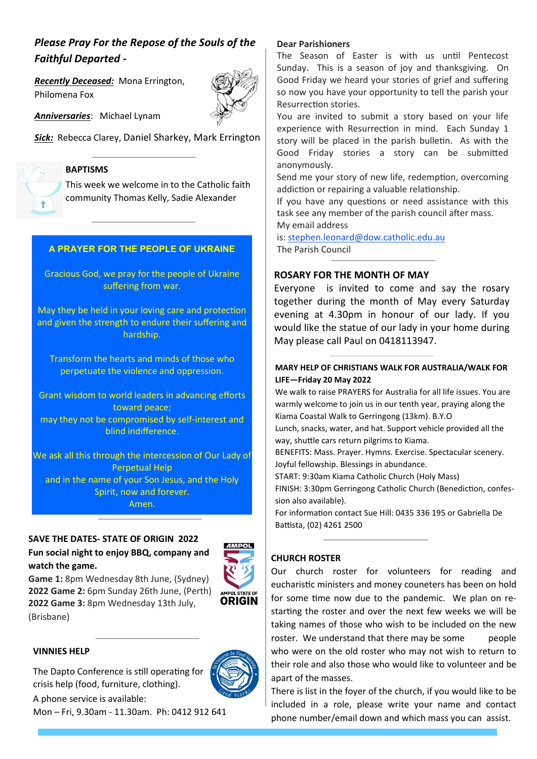## *Please Pray For the Repose of the Souls of the Faithful Departed -*

*Recently Deceased:*Mona Errington, Philomena Fox



*Anniversaries*: Michael Lynam

**Sick:** Rebecca Clarey, Daniel Sharkey, Mark Errington

#### **BAPTISMS**

This week we welcome in to the Catholic faith community Thomas Kelly, Sadie Alexander

#### **A PRAYER FOR THE PEOPLE OF UKRAINE**

Gracious God, we pray for the people of Ukraine suffering from war.

May they be held in your loving care and protection and given the strength to endure their suffering and hardship.

Transform the hearts and minds of those who perpetuate the violence and oppression.

Grant wisdom to world leaders in advancing efforts toward peace; may they not be compromised by self-interest and blind indifference.

We ask all this through the intercession of Our Lady of Perpetual Help and in the name of your Son Jesus, and the Holy Spirit, now and forever. Amen.

### **SAVE THE DATES- STATE OF ORIGIN 2022 Fun social night to enjoy BBQ, company and watch the game.**



**Game 1:** 8pm Wednesday 8th June, (Sydney) **2022 Game 2:** 6pm Sunday 26th June, (Perth) **2022 Game 3:** 8pm Wednesday 13th July, (Brisbane)

#### **VINNIES HELP**

The Dapto Conference is still operating for crisis help (food, furniture, clothing).



A phone service is available: Mon – Fri, 9.30am - 11.30am. Ph: 0412 912 641

#### **Dear Parishioners**

The Season of Easter is with us until Pentecost Sunday. This is a season of joy and thanksgiving. On Good Friday we heard your stories of grief and suffering so now you have your opportunity to tell the parish your Resurrection stories.

You are invited to submit a story based on your life experience with Resurrection in mind. Each Sunday 1 story will be placed in the parish bulletin. As with the Good Friday stories a story can be submitted anonymously.

Send me your story of new life, redemption, overcoming addiction or repairing a valuable relationship.

If you have any questions or need assistance with this task see any member of the parish council after mass. My email address

is: [stephen.leonard@dow.catholic.edu.au](mailto:stephen.leonard@dow.catholic.edu.au) The Parish Council

#### **ROSARY FOR THE MONTH OF MAY**

Everyone is invited to come and say the rosary together during the month of May every Saturday evening at 4.30pm in honour of our lady. If you would like the statue of our lady in your home during May please call Paul on 0418113947.

#### **MARY HELP OF CHRISTIANS WALK FOR AUSTRALIA/WALK FOR LIFE—Friday 20 May 2022**

We walk to raise PRAYERS for Australia for all life issues. You are warmly welcome to join us in our tenth year, praying along the Kiama Coastal Walk to Gerringong (13km). B.Y.O

Lunch, snacks, water, and hat. Support vehicle provided all the way, shuttle cars return pilgrims to Kiama.

BENEFITS: Mass. Prayer. Hymns. Exercise. Spectacular scenery. Joyful fellowship. Blessings in abundance.

START: 9:30am Kiama Catholic Church (Holy Mass)

FINISH: 3:30pm Gerringong Catholic Church (Benediction, confession also available).

For information contact Sue Hill: 0435 336 195 or Gabriella De Battista, (02) 4261 2500

#### **CHURCH ROSTER**

Our church roster for volunteers for reading and eucharistic ministers and money couneters has been on hold for some time now due to the pandemic. We plan on restarting the roster and over the next few weeks we will be taking names of those who wish to be included on the new roster. We understand that there may be some people who were on the old roster who may not wish to return to their role and also those who would like to volunteer and be apart of the masses.

There is list in the foyer of the church, if you would like to be included in a role, please write your name and contact phone number/email down and which mass you can assist.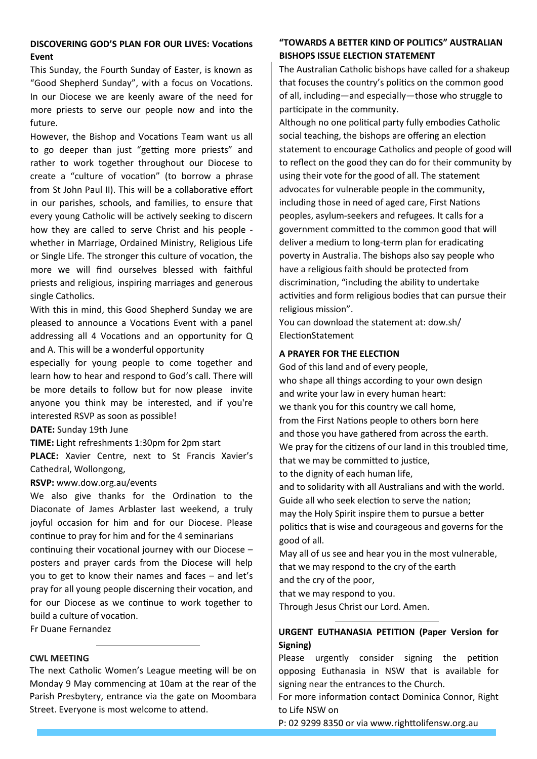#### **DISCOVERING GOD'S PLAN FOR OUR LIVES: Vocations Event**

This Sunday, the Fourth Sunday of Easter, is known as "Good Shepherd Sunday", with a focus on Vocations. In our Diocese we are keenly aware of the need for more priests to serve our people now and into the future.

However, the Bishop and Vocations Team want us all to go deeper than just "getting more priests" and rather to work together throughout our Diocese to create a "culture of vocation" (to borrow a phrase from St John Paul II). This will be a collaborative effort in our parishes, schools, and families, to ensure that every young Catholic will be actively seeking to discern how they are called to serve Christ and his people whether in Marriage, Ordained Ministry, Religious Life or Single Life. The stronger this culture of vocation, the more we will find ourselves blessed with faithful priests and religious, inspiring marriages and generous single Catholics.

With this in mind, this Good Shepherd Sunday we are pleased to announce a Vocations Event with a panel addressing all 4 Vocations and an opportunity for Q and A. This will be a wonderful opportunity

especially for young people to come together and learn how to hear and respond to God's call. There will be more details to follow but for now please invite anyone you think may be interested, and if you're interested RSVP as soon as possible!

#### **DATE:** Sunday 19th June

**TIME:** Light refreshments 1:30pm for 2pm start

**PLACE:** Xavier Centre, next to St Francis Xavier's Cathedral, Wollongong,

#### **RSVP:** www.dow.org.au/events

We also give thanks for the Ordination to the Diaconate of James Arblaster last weekend, a truly joyful occasion for him and for our Diocese. Please continue to pray for him and for the 4 seminarians

continuing their vocational journey with our Diocese – posters and prayer cards from the Diocese will help you to get to know their names and faces – and let's pray for all young people discerning their vocation, and for our Diocese as we continue to work together to build a culture of vocation.

Fr Duane Fernandez

#### **CWL MEETING**

The next Catholic Women's League meeting will be on Monday 9 May commencing at 10am at the rear of the Parish Presbytery, entrance via the gate on Moombara Street. Everyone is most welcome to attend.

### **"TOWARDS A BETTER KIND OF POLITICS" AUSTRALIAN BISHOPS ISSUE ELECTION STATEMENT**

The Australian Catholic bishops have called for a shakeup that focuses the country's politics on the common good of all, including—and especially—those who struggle to participate in the community.

Although no one political party fully embodies Catholic social teaching, the bishops are offering an election statement to encourage Catholics and people of good will to reflect on the good they can do for their community by using their vote for the good of all. The statement advocates for vulnerable people in the community, including those in need of aged care, First Nations peoples, asylum-seekers and refugees. It calls for a government committed to the common good that will deliver a medium to long-term plan for eradicating poverty in Australia. The bishops also say people who have a religious faith should be protected from discrimination, "including the ability to undertake activities and form religious bodies that can pursue their religious mission".

You can download the statement at: dow.sh/ ElectionStatement

#### **A PRAYER FOR THE ELECTION**

God of this land and of every people, who shape all things according to your own design and write your law in every human heart: we thank you for this country we call home, from the First Nations people to others born here and those you have gathered from across the earth. We pray for the citizens of our land in this troubled time, that we may be committed to justice,

to the dignity of each human life,

and to solidarity with all Australians and with the world. Guide all who seek election to serve the nation; may the Holy Spirit inspire them to pursue a better politics that is wise and courageous and governs for the good of all.

May all of us see and hear you in the most vulnerable, that we may respond to the cry of the earth and the cry of the poor,

that we may respond to you.

Through Jesus Christ our Lord. Amen.

#### **URGENT EUTHANASIA PETITION (Paper Version for Signing)**

Please urgently consider signing the petition opposing Euthanasia in NSW that is available for signing near the entrances to the Church.

For more information contact Dominica Connor, Right to Life NSW on

P: 02 9299 8350 or via www.righttolifensw.org.au